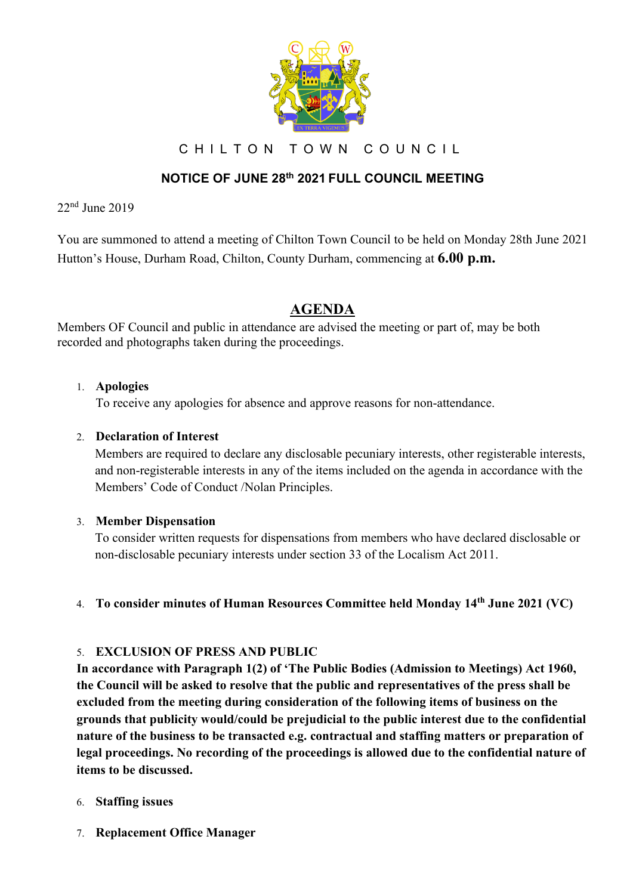

C H I L T O N T O W N C O U N C I L

## **NOTICE OF JUNE 28th 2021 FULL COUNCIL MEETING**

22nd June 2019

You are summoned to attend a meeting of Chilton Town Council to be held on Monday 28th June 2021 Hutton's House, Durham Road, Chilton, County Durham, commencing at **6.00 p.m.**

## **AGENDA**

Members OF Council and public in attendance are advised the meeting or part of, may be both recorded and photographs taken during the proceedings.

#### 1. **Apologies**

To receive any apologies for absence and approve reasons for non-attendance.

### 2. **Declaration of Interest**

Members are required to declare any disclosable pecuniary interests, other registerable interests, and non-registerable interests in any of the items included on the agenda in accordance with the Members' Code of Conduct /Nolan Principles.

#### 3. **Member Dispensation**

To consider written requests for dispensations from members who have declared disclosable or non-disclosable pecuniary interests under section 33 of the Localism Act 2011.

#### 4. **To consider minutes of Human Resources Committee held Monday 14th June 2021 (VC)**

#### 5. **EXCLUSION OF PRESS AND PUBLIC**

**In accordance with Paragraph 1(2) of 'The Public Bodies (Admission to Meetings) Act 1960, the Council will be asked to resolve that the public and representatives of the press shall be excluded from the meeting during consideration of the following items of business on the grounds that publicity would/could be prejudicial to the public interest due to the confidential nature of the business to be transacted e.g. contractual and staffing matters or preparation of legal proceedings. No recording of the proceedings is allowed due to the confidential nature of items to be discussed.**

#### 6. **Staffing issues**

7. **Replacement Office Manager**